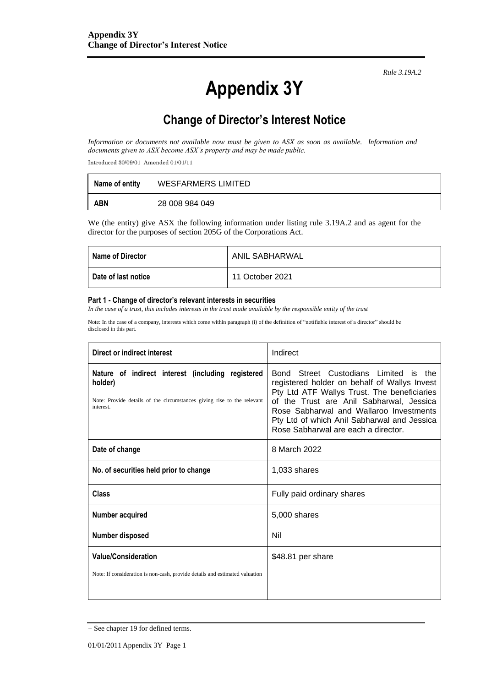*Rule 3.19A.2*

# **Appendix 3Y**

# **Change of Director's Interest Notice**

*Information or documents not available now must be given to ASX as soon as available. Information and documents given to ASX become ASX's property and may be made public.*

Introduced 30/09/01 Amended 01/01/11

| Name of entity | WESFARMERS LIMITED |
|----------------|--------------------|
| ABN            | 28 008 984 049     |

We (the entity) give ASX the following information under listing rule 3.19A.2 and as agent for the director for the purposes of section 205G of the Corporations Act.

| <b>I</b> Name of Director  | <b>ANIL SABHARWAL</b> |
|----------------------------|-----------------------|
| <b>Date of last notice</b> | 11 October 2021       |

#### **Part 1 - Change of director's relevant interests in securities**

*In the case of a trust, this includes interests in the trust made available by the responsible entity of the trust* 

Note: In the case of a company, interests which come within paragraph (i) of the definition of "notifiable interest of a director" should be disclosed in this part.

| Direct or indirect interest                                                                                                                         | Indirect                                                                                                                                                                                                                                                                                                          |  |
|-----------------------------------------------------------------------------------------------------------------------------------------------------|-------------------------------------------------------------------------------------------------------------------------------------------------------------------------------------------------------------------------------------------------------------------------------------------------------------------|--|
| Nature of indirect interest (including registered<br>holder)<br>Note: Provide details of the circumstances giving rise to the relevant<br>interest. | Bond Street Custodians Limited is the<br>registered holder on behalf of Wallys Invest<br>Pty Ltd ATF Wallys Trust. The beneficiaries<br>of the Trust are Anil Sabharwal, Jessica<br>Rose Sabharwal and Wallaroo Investments<br>Pty Ltd of which Anil Sabharwal and Jessica<br>Rose Sabharwal are each a director. |  |
| Date of change                                                                                                                                      | 8 March 2022                                                                                                                                                                                                                                                                                                      |  |
| No. of securities held prior to change                                                                                                              | 1,033 shares                                                                                                                                                                                                                                                                                                      |  |
| Class                                                                                                                                               | Fully paid ordinary shares                                                                                                                                                                                                                                                                                        |  |
| Number acquired                                                                                                                                     | 5,000 shares                                                                                                                                                                                                                                                                                                      |  |
| Number disposed                                                                                                                                     | Nil                                                                                                                                                                                                                                                                                                               |  |
| <b>Value/Consideration</b><br>Note: If consideration is non-cash, provide details and estimated valuation                                           | \$48.81 per share                                                                                                                                                                                                                                                                                                 |  |

<sup>+</sup> See chapter 19 for defined terms.